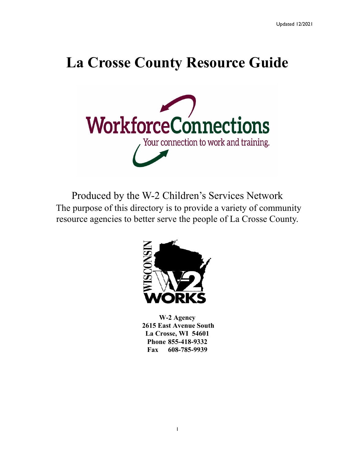# **La Crosse County Resource Guide**



Produced by the W-2 Children's Services Network The purpose of this directory is to provide a variety of community resource agencies to better serve the people of La Crosse County.



**W-2 Agency 2615 East Avenue South La Crosse, WI 54601 Phone 855-418-9332 Fax 608-785-9939**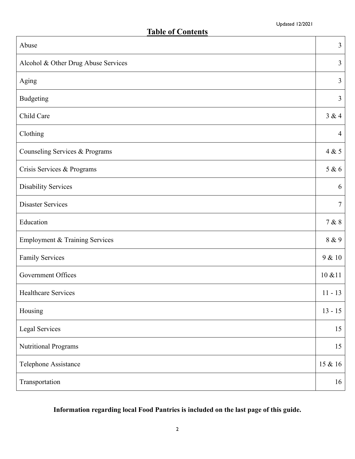| Abuse                                     | $\overline{3}$ |
|-------------------------------------------|----------------|
| Alcohol & Other Drug Abuse Services       | $\mathfrak{Z}$ |
| Aging                                     | $\mathfrak{Z}$ |
| Budgeting                                 | 3              |
| Child Care                                | 3 & 4          |
| Clothing                                  | 4              |
| Counseling Services & Programs            | 4 & 5          |
| Crisis Services & Programs                | 5 & 6          |
| <b>Disability Services</b>                | 6              |
| <b>Disaster Services</b>                  | $\tau$         |
| Education                                 | 7 & 8          |
| <b>Employment &amp; Training Services</b> | 8 & 9          |
| <b>Family Services</b>                    | 9 & 10         |
| Government Offices                        | 10 & 11        |
| Healthcare Services                       | $11 - 13$      |
| Housing                                   | $13 - 15$      |
| Legal Services                            | 15             |
| Nutritional Programs                      | 15             |
| Telephone Assistance                      | 15 & 16        |
| Transportation                            | 16             |

**Information regarding local Food Pantries is included on the last page of this guide.**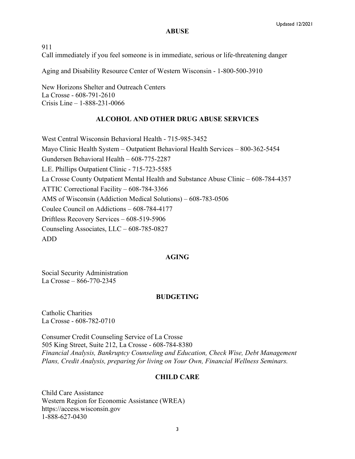#### **ABUSE**

911

Call immediately if you feel someone is in immediate, serious or life-threatening danger

Aging and Disability Resource Center of Western Wisconsin - 1-800-500-3910

New Horizons Shelter and Outreach Centers La Crosse - 608-791-2610 Crisis Line – 1-888-231-0066

# **ALCOHOL AND OTHER DRUG ABUSE SERVICES**

West Central Wisconsin Behavioral Health - 715-985-3452 Mayo Clinic Health System – Outpatient Behavioral Health Services – 800-362-5454 Gundersen Behavioral Health – 608-775-2287 L.E. Phillips Outpatient Clinic - 715-723-5585 La Crosse County Outpatient Mental Health and Substance Abuse Clinic – 608-784-4357 ATTIC Correctional Facility – 608-784-3366 AMS of Wisconsin (Addiction Medical Solutions) – 608-783-0506 Coulee Council on Addictions – 608-784-4177 Driftless Recovery Services – 608-519-5906 Counseling Associates, LLC – 608-785-0827 ADD

#### **AGING**

Social Security Administration La Crosse – 866-770-2345

## **BUDGETING**

Catholic Charities La Crosse - 608-782-0710

Consumer Credit Counseling Service of La Crosse 505 King Street, Suite 212, La Crosse - 608-784-8380 *Financial Analysis, Bankruptcy Counseling and Education, Check Wise, Debt Management Plans, Credit Analysis, preparing for living on Your Own, Financial Wellness Seminars.*

#### **CHILD CARE**

Child Care Assistance Western Region for Economic Assistance (WREA) [https://access.wisconsin.gov](https://access.wisconsin.gov/) 1-888-627-0430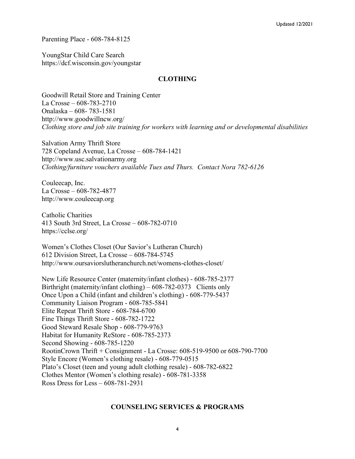Parenting Place - 608-784-8125

YoungStar Child Care Search <https://dcf.wisconsin.gov/youngstar>

# **CLOTHING**

Goodwill Retail Store and Training Center La Crosse – 608-783-2710 Onalaska – 608- 783-1581 <http://www.goodwillncw.org/> *Clothing store and job site training for workers with learning and or developmental disabilities*

Salvation Army Thrift Store 728 Copeland Avenue, La Crosse – 608-784-1421 [http://www.usc.salvationarmy.org](http://www.usc.salvationarmy.org/usc/www_usc_lacrosse.nsf/vw-text-dynamic-arrays/BCD1A7CBCDD1C79580257101005D915A?openDocument&charset=utf-8) *Clothing/furniture vouchers available Tues and Thurs. Contact Nora 782-6126*

Couleecap, Inc. La Crosse – 608-782-4877 [http://www.couleecap.org](http://www.couleecap.org/)

Catholic Charities 413 South 3rd Street, La Crosse – 608-782-0710 https://cclse.org/

Women's Clothes Closet (Our Savior's Lutheran Church) 612 Division Street, La Crosse – 608-784-5745 <http://www.oursaviorslutheranchurch.net/womens-clothes-closet/>

New Life Resource Center (maternity/infant clothes) - 608-785-2377 Birthright (maternity/infant clothing) – 608-782-0373 Clients only Once Upon a Child (infant and children's clothing) - 608-779-5437 Community Liaison Program - 608-785-5841 Elite Repeat Thrift Store - 608-784-6700 Fine Things Thrift Store - 608-782-1722 Good Steward Resale Shop - 608-779-9763 Habitat for Humanity ReStore - 608-785-2373 Second Showing - 608-785-1220 RootinCrown Thrift + Consignment - La Crosse: 608-519-9500 or 608-790-7700 Style Encore (Women's clothing resale) - 608-779-0515 Plato's Closet (teen and young adult clothing resale) - 608-782-6822 Clothes Mentor (Women's clothing resale) - 608-781-3358 Ross Dress for Less – 608-781-2931

#### **COUNSELING SERVICES & PROGRAMS**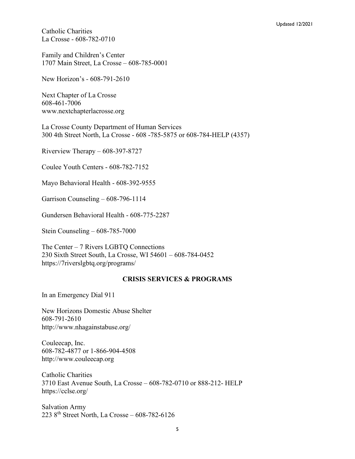Catholic Charities La Crosse - 608-782-0710

Family and Children's Center 1707 Main Street, La Crosse – 608-785-0001

New Horizon's *-* 608-791-2610

Next Chapter of La Crosse 608-461-7006 [www.nextchapterlacrosse.org](http://www.nextchapterlacrosse.org/)

La Crosse County Department of Human Services 300 4th Street North, La Crosse - 608 -785-5875 or 608-784-HELP (4357)

Riverview Therapy – 608-397-8727

Coulee Youth Centers - 608-782-7152

Mayo Behavioral Health - 608-392-9555

Garrison Counseling – 608-796-1114

Gundersen Behavioral Health - 608-775-2287

Stein Counseling – 608-785-7000

The Center – 7 Rivers LGBTQ Connections 230 Sixth Street South, La Crosse, WI 54601 – 608-784-0452 https://7riverslgbtq.org/programs/

## **CRISIS SERVICES & PROGRAMS**

In an Emergency Dial 911

New Horizons Domestic Abuse Shelter 608-791-2610 http://www.nhagainstabuse.org/

Couleecap, Inc. 608-782-4877 or 1-866-904-4508 [http://www.couleecap.org](http://www.couleecap.org/)

Catholic Charities 3710 East Avenue South, La Crosse – 608-782-0710 or 888-212- HELP <https://cclse.org/>

Salvation Army 223 8th Street North, La Crosse – 608-782-6126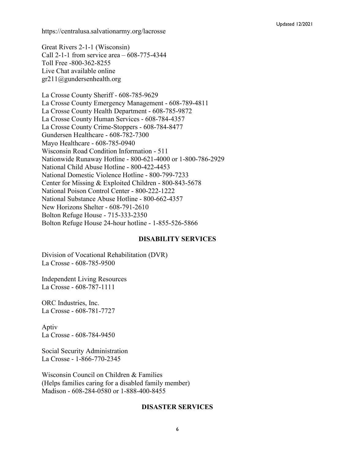https://centralusa.salvationarmy.org/lacrosse

Great Rivers 2-1-1 (Wisconsin) Call 2-1-1 from service area – 608-775-4344 Toll Free -800-362-8255 Live Chat available online gr211@gundersenhealth.org

La Crosse County Sheriff - 608-785-9629 La Crosse County Emergency Management - 608-789-4811 La Crosse County Health Department - 608-785-9872 La Crosse County Human Services - 608-784-4357 La Crosse County Crime-Stoppers - 608-784-8477 Gundersen Healthcare - 608-782-7300 Mayo Healthcare - 608-785-0940 Wisconsin Road Condition Information - 511 Nationwide Runaway Hotline - 800-621-4000 or 1-800-786-2929 National Child Abuse Hotline - 800-422-4453 National Domestic Violence Hotline - 800-799-7233 Center for Missing & Exploited Children - 800-843-5678 National Poison Control Center - 800-222-1222 National Substance Abuse Hotline - 800-662-4357 New Horizons Shelter - 608-791-2610 Bolton Refuge House - 715-333-2350 Bolton Refuge House 24-hour hotline - 1-855-526-5866

## **DISABILITY SERVICES**

Division of Vocational Rehabilitation (DVR) La Crosse - 608-785-9500

Independent Living Resources La Crosse - 608-787-1111

ORC Industries, Inc. La Crosse - 608-781-7727

Aptiv La Crosse - 608-784-9450

Social Security Administration La Crosse - 1-866-770-2345

Wisconsin Council on Children & Families (Helps families caring for a disabled family member) Madison - 608-284-0580 or 1-888-400-8455

#### **DISASTER SERVICES**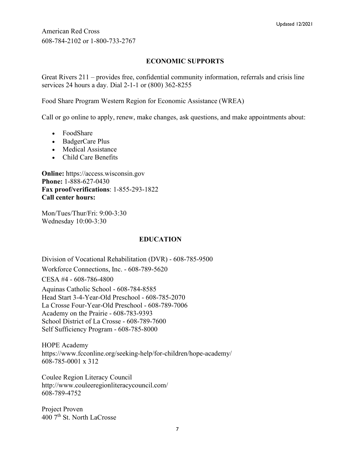American Red Cross 608-784-2102 or 1-800-733-2767

# **ECONOMIC SUPPORTS**

Great Rivers 211 – provides free, confidential community information, referrals and crisis line services 24 hours a day. Dial 2-1-1 or (800) 362-8255

Food Share Program Western Region for Economic Assistance (WREA)

Call or go online to apply, renew, make changes, ask questions, and make appointments about:

- FoodShare
- BadgerCare Plus
- Medical Assistance
- Child Care Benefits

**Online:** https://access.wisconsin.gov **Phone:** 1-888-627-0430 **Fax proof/verifications**: 1-855-293-1822 **Call center hours:** 

Mon/Tues/Thur/Fri: 9:00-3:30 Wednesday 10:00-3:30

## **EDUCATION**

Division of Vocational Rehabilitation (DVR) - 608-785-9500 Workforce Connections, Inc. - 608-789-5620 CESA #4 - 608-786-4800 Aquinas Catholic School - 608-784-8585 Head Start 3-4-Year-Old Preschool - 608-785-2070 La Crosse Four-Year-Old Preschool - 608-789-7006 Academy on the Prairie - 608-783-9393 School District of La Crosse - 608-789-7600 Self Sufficiency Program - 608-785-8000

HOPE Academy <https://www.fcconline.org/seeking-help/for-children/hope-academy/> 608-785-0001 x 312

Coulee Region Literacy Council <http://www.couleeregionliteracycouncil.com/> 608-789-4752

Project Proven 400 7th St. North LaCrosse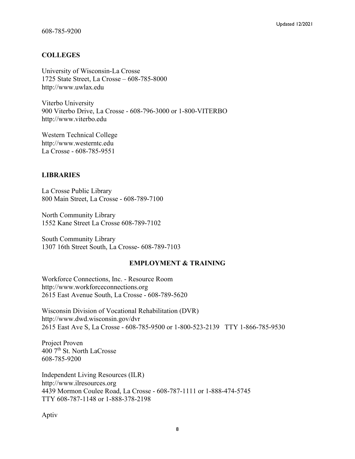608-785-9200

## **COLLEGES**

University of Wisconsin-La Crosse 1725 State Street, La Crosse – 608-785-8000 [http://www.uwlax.edu](http://www.uwlax.edu/)

Viterbo University 900 Viterbo Drive, La Crosse - 608-796-3000 or 1-800-VITERBO [http://www.viterbo.edu](http://www.viterbo.edu/)

Western Technical College [http://www.westerntc.edu](http://www.westerntc.edu/) La Crosse - 608-785-9551

## **LIBRARIES**

La Crosse Public Library 800 Main Street, La Crosse - 608-789-7100

North Community Library 1552 Kane Street La Crosse 608-789-7102

South Community Library 1307 16th Street South, La Crosse- 608-789-7103

# **EMPLOYMENT & TRAINING**

Workforce Connections, Inc. - Resource Room [http://www.workforceconnections.org](http://www.workforceconnections.org/) 2615 East Avenue South, La Crosse - 608-789-5620

Wisconsin Division of Vocational Rehabilitation (DVR) <http://www.dwd.wisconsin.gov/dvr> 2615 East Ave S, La Crosse - 608-785-9500 or 1-800-523-2139 TTY 1-866-785-9530

Project Proven 400 7<sup>th</sup> St. North LaCrosse 608-785-9200

Independent Living Resources (ILR) [http://www.ilresources.org](http://www.ilresources.org/) 4439 Mormon Coulee Road, La Crosse - 608-787-1111 or 1-888-474-5745 TTY 608-787-1148 or 1-888-378-2198

Aptiv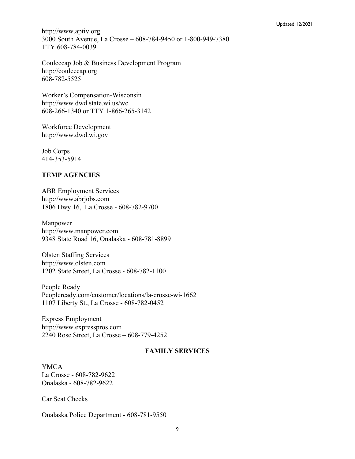[http://www.aptiv.org](http://www.aptiv.org/) 3000 South Avenue, La Crosse – 608-784-9450 or 1-800-949-7380 TTY 608-784-0039

Couleecap Job & Business Development Program [http://couleecap.org](http://couleecap.org/)  608-782-5525

Worker's Compensation-Wisconsin <http://www.dwd.state.wi.us/wc> 608-266-1340 or TTY 1-866-265-3142

Workforce Development [http://www.dwd.wi.gov](http://www.dwd.wi.gov/) 

Job Corps 414-353-5914

# **TEMP AGENCIES**

ABR Employment Services [http://www.abrjobs.com](http://www.abrjobs.com/)  1806 Hwy 16, La Crosse - 608-782-9700

Manpower [http://www.manpower.com](http://www.manpower.com/) 9348 State Road 16, Onalaska - 608-781-8899

Olsten Staffing Services [http://www.olsten.com](http://www.olsten.com/) 1202 State Street, La Crosse - 608-782-1100

People Ready Peopleready.com/customer/locations/la-crosse-wi-1662 1107 Liberty St., La Crosse - 608-782-0452

Express Employment [http://www.expresspros.com](http://www.expresspros.com/) 2240 Rose Street, La Crosse – 608-779-4252

# **FAMILY SERVICES**

YMCA La Crosse - 608-782-9622 Onalaska - 608-782-9622

Car Seat Checks

Onalaska Police Department - 608-781-9550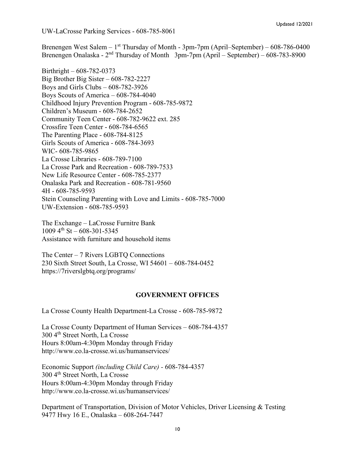UW-LaCrosse Parking Services - 608-785-8061

Brenengen West Salem –  $1<sup>st</sup>$  Thursday of Month - 3pm-7pm (April–September) – 608-786-0400 Brenengen Onalaska - 2nd Thursday of Month 3pm-7pm (April – September) – 608-783-8900

Birthright – 608-782-0373 Big Brother Big Sister – 608-782-2227 Boys and Girls Clubs – 608-782-3926 Boys Scouts of America – 608-784-4040 Childhood Injury Prevention Program - 608-785-9872 Children's Museum - 608-784-2652 Community Teen Center - 608-782-9622 ext. 285 Crossfire Teen Center - 608-784-6565 The Parenting Place - 608-784-8125 Girls Scouts of America - 608-784-3693 WIC- 608-785-9865 La Crosse Libraries - 608-789-7100 La Crosse Park and Recreation - 608-789-7533 New Life Resource Center - 608-785-2377 Onalaska Park and Recreation - 608-781-9560 4H - 608-785-9593 Stein Counseling Parenting with Love and Limits - 608-785-7000 UW-Extension - 608-785-9593

The Exchange – LaCrosse Furnitre Bank  $1009\ 4^{\text{th}}\ \text{St} - 608-301-5345$ Assistance with furniture and household items

The Center – 7 Rivers LGBTQ Connections 230 Sixth Street South, La Crosse, WI 54601 – 608-784-0452 https://7riverslgbtq.org/programs/

#### **GOVERNMENT OFFICES**

La Crosse County Health Department-La Crosse - 608-785-9872

La Crosse County Department of Human Services – 608-784-4357 300 4th Street North, La Crosse Hours 8:00am-4:30pm Monday through Friday <http://www.co.la-crosse.wi.us/humanservices/>

Economic Support *(including Child Care) -* 608-784-4357 300 4th Street North, La Crosse Hours 8:00am-4:30pm Monday through Friday <http://www.co.la-crosse.wi.us/humanservices/>

Department of Transportation, Division of Motor Vehicles, Driver Licensing & Testing 9477 Hwy 16 E., Onalaska – 608-264-7447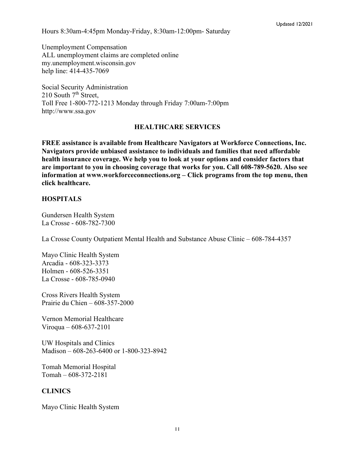Hours 8:30am-4:45pm Monday-Friday, 8:30am-12:00pm- Saturday

Unemployment Compensation ALL unemployment claims are completed online my.unemployment.wisconsin.gov help line: 414-435-7069

Social Security Administration 210 South  $7<sup>th</sup>$  Street, Toll Free 1-800-772-1213 Monday through Friday 7:00am-7:00pm [http://www.ssa.gov](http://www.ssa.gov/)

## **HEALTHCARE SERVICES**

**FREE assistance is available from Healthcare Navigators at Workforce Connections, Inc. Navigators provide unbiased assistance to individuals and families that need affordable health insurance coverage. We help you to look at your options and consider factors that are important to you in choosing coverage that works for you. Call 608-789-5620. Also see information at [www.workforceconnections.org](http://www.workforceconnections.org/) – Click programs from the top menu, then click healthcare.**

## **HOSPITALS**

Gundersen Health System La Crosse - 608-782-7300

La Crosse County Outpatient Mental Health and Substance Abuse Clinic – 608-784-4357

Mayo Clinic Health System Arcadia - 608-323-3373 Holmen - 608-526-3351 La Crosse - 608-785-0940

Cross Rivers Health System Prairie du Chien – 608-357-2000

Vernon Memorial Healthcare Viroqua – 608-637-2101

UW Hospitals and Clinics Madison – 608-263-6400 or 1-800-323-8942

Tomah Memorial Hospital Tomah – 608-372-2181

# **CLINICS**

Mayo Clinic Health System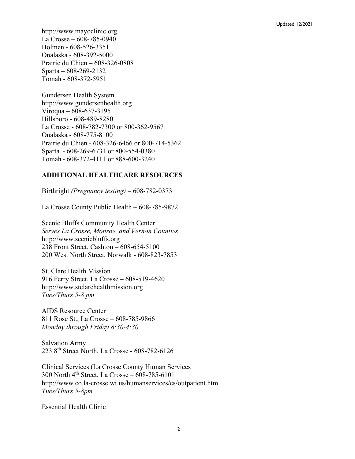[http://www.mayoclinic.org](http://www.mayoclinic.org/) La Crosse – 608-785-0940 Holmen - 608-526-3351 Onalaska - 608-392-5000 Prairie du Chien – 608-326-0808 Sparta – 608-269-2132 Tomah - 608-372-5951

Gundersen Health System http://www.gundersenhealth.org Viroqua – 608-637-3195 Hillsboro - 608-489-8280 La Crosse - 608-782-7300 or 800-362-9567 Onalaska - 608-775-8100 Prairie du Chien - 608-326-6466 or 800-714-5362 Sparta - 608-269-6731 or 800-554-0380 Tomah - 608-372-4111 or 888-600-3240

## **ADDITIONAL HEALTHCARE RESOURCES**

Birthright *(Pregnancy testing)* – 608-782-0373

La Crosse County Public Health – 608-785-9872

Scenic Bluffs Community Health Center *Serves La Crosse, Monroe, and Vernon Counties* [http://www.scenicbluffs.org](http://www.scenicbluffs.org/) 238 Front Street, Cashton – 608-654-5100 200 West North Street, Norwalk - 608-823-7853

St. Clare Health Mission 916 Ferry Street, La Crosse – 608-519-4620 [http://www.stclarehealthmission.org](http://www.stclarehealthmission.org/) *Tues/Thurs 5-8 pm*

AIDS Resource Center 811 Rose St., La Crosse – 608-785-9866 *Monday through Friday 8:30-4:30*

Salvation Army 223 8th Street North, La Crosse - 608-782-6126

Clinical Services (La Crosse County Human Services 300 North 4th Street, La Crosse – 608-785-6101 <http://www.co.la-crosse.wi.us/humanservices/cs/outpatient.htm> *Tues/Thurs 5-8pm*

Essential Health Clinic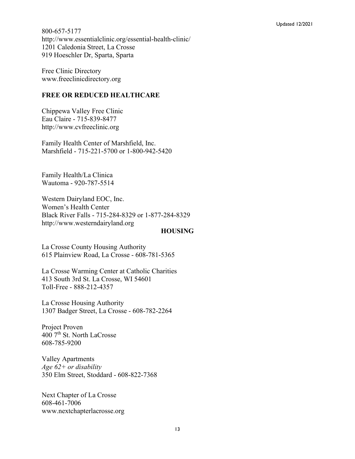800-657-5177 http://www.essentialclinic.org/essential-health-clinic/ 1201 Caledonia Street, La Crosse 919 Hoeschler Dr, Sparta, Sparta

Free Clinic Directory www.freeclinicdirectory.org

## **FREE OR REDUCED HEALTHCARE**

Chippewa Valley Free Clinic Eau Claire - 715-839-8477 [http://www.cvfreeclinic.org](http://www.cvfreeclinic.org/)

Family Health Center of Marshfield, Inc. Marshfield - 715-221-5700 or 1-800-942-5420

Family Health/La Clinica Wautoma - 920-787-5514

Western Dairyland EOC, Inc. Women's Health Center Black River Falls - 715-284-8329 or 1-877-284-8329 [http://www.westerndairyland.org](http://www.westerndairyland.org/)

#### **HOUSING**

La Crosse County Housing Authority 615 Plainview Road, La Crosse - 608-781-5365

La Crosse Warming Center at Catholic Charities 413 South 3rd St. La Crosse, WI 54601 Toll-Free - 888-212-4357

La Crosse Housing Authority 1307 Badger Street, La Crosse - 608-782-2264

Project Proven 400 7th St. North LaCrosse 608-785-9200

Valley Apartments *Age 62+ or disability* 350 Elm Street, Stoddard - 608-822-7368

Next Chapter of La Crosse 608-461-7006 [www.nextchapterlacrosse.org](http://www.nextchapterlacrosse.org/)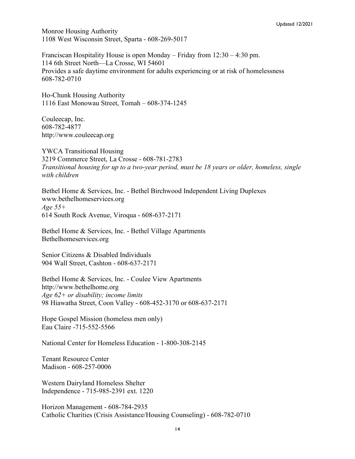Monroe Housing Authority 1108 West Wisconsin Street, Sparta - 608-269-5017

Franciscan Hospitality House is open Monday – Friday from 12:30 – 4:30 pm. 114 6th Street North—La Crosse, WI 54601 Provides a safe daytime environment for adults experiencing or at risk of homelessness 608-782-0710

Ho-Chunk Housing Authority 1116 East Monowau Street, Tomah – 608-374-1245

Couleecap, Inc. 608-782-4877 [http://www.couleecap.org](http://www.couleecap.org/)

YWCA Transitional Housing 3219 Commerce Street, La Crosse - 608-781-2783 *Transitional housing for up to a two-year period, must be 18 years or older, homeless, single with children*

Bethel Home & Services, Inc. - Bethel Birchwood Independent Living Duplexes www.bethelhomeservices.org *Age 55+* 614 South Rock Avenue, Viroqua - 608-637-2171

Bethel Home & Services, Inc. - Bethel Village Apartments Bethelhomeservices.org

Senior Citizens & Disabled Individuals 904 Wall Street, Cashton - 608-637-2171

Bethel Home & Services, Inc. - Coulee View Apartments [http://www.bethelhome.org](http://www.bethelhome.org/) *Age 62+ or disability; income limits* 98 Hiawatha Street, Coon Valley - 608-452-3170 or 608-637-2171

Hope Gospel Mission (homeless men only) Eau Claire -715-552-5566

National Center for Homeless Education - 1-800-308-2145

Tenant Resource Center Madison - 608-257-0006

Western Dairyland Homeless Shelter Independence - 715-985-2391 ext. 1220

Horizon Management - 608-784-2935 Catholic Charities (Crisis Assistance/Housing Counseling) - 608-782-0710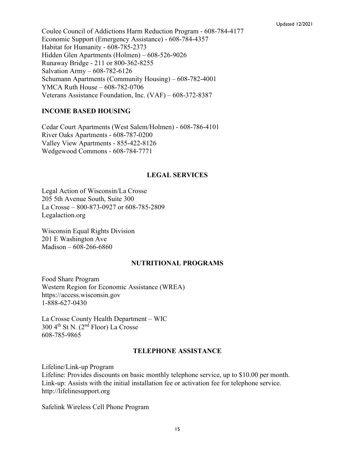Coulee Council of Addictions Harm Reduction Program - 608-784-4177 Economic Support (Emergency Assistance) - 608-784-4357 Habitat for Humanity - 608-785-2373 Hidden Glen Apartments (Holmen) – 608-526-9026 Runaway Bridge - 211 or 800-362-8255 Salvation Army – 608-782-6126 Schumann Apartments (Community Housing) – 608-782-4001 YMCA Ruth House – 608-782-0706 Veterans Assistance Foundation, Inc. (VAF) – 608-372-8387

# **INCOME BASED HOUSING**

Cedar Court Apartments (West Salem/Holmen) - 608-786-4101 River Oaks Apartments - 608-787-0200 Valley View Apartments - 855-422-8126 Wedgewood Commons - 608-784-7771

## **LEGAL SERVICES**

Legal Action of Wisconsin/La Crosse 205 5th Avenue South, Suite 300 La Crosse – 800-873-0927 or 608-785-2809 Legalaction.org

Wisconsin Equal Rights Division 201 E Washington Ave Madison – 608-266-6860

## **NUTRITIONAL PROGRAMS**

Food Share Program Western Region for Economic Assistance (WREA) https://access.wisconsin.gov 1-888-627-0430

La Crosse County Health Department – WIC 300 4th St N. (2nd Floor) La Crosse 608-785-9865

# **TELEPHONE ASSISTANCE**

Lifeline/Link-up Program Lifeline: Provides discounts on basic monthly telephone service, up to \$10.00 per month. Link-up: Assists with the initial installation fee or activation fee for telephone service. [http://lifelinesupport.org](http://lifelinesupport.org/)

Safelink Wireless Cell Phone Program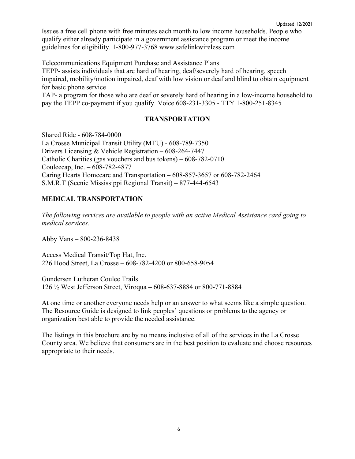Issues a free cell phone with free minutes each month to low income households. People who qualify either already participate in a government assistance program or meet the income guidelines for eligibility. 1-800-977-3768 [www.safelinkwireless.com](http://www.safelinkwireless.com/)

Telecommunications Equipment Purchase and Assistance Plans

TEPP- assists individuals that are hard of hearing, deaf/severely hard of hearing, speech impaired, mobility/motion impaired, deaf with low vision or deaf and blind to obtain equipment for basic phone service

TAP- a program for those who are deaf or severely hard of hearing in a low-income household to pay the TEPP co-payment if you qualify. Voice 608-231-3305 - TTY 1-800-251-8345

# **TRANSPORTATION**

Shared Ride - 608-784-0000 La Crosse Municipal Transit Utility (MTU) - 608-789-7350 Drivers Licensing & Vehicle Registration – 608-264-7447 Catholic Charities (gas vouchers and bus tokens) – 608-782-0710 Couleecap, Inc. – 608-782-4877 Caring Hearts Homecare and Transportation – 608-857-3657 or 608-782-2464 S.M.R.T (Scenic Mississippi Regional Transit) – 877-444-6543

# **MEDICAL TRANSPORTATION**

*The following services are available to people with an active Medical Assistance card going to medical services.*

Abby Vans – 800-236-8438

Access Medical Transit/Top Hat, Inc. 226 Hood Street, La Crosse – 608-782-4200 or 800-658-9054

Gundersen Lutheran Coulee Trails 126 ½ West Jefferson Street, Viroqua – 608-637-8884 or 800-771-8884

At one time or another everyone needs help or an answer to what seems like a simple question. The Resource Guide is designed to link peoples' questions or problems to the agency or organization best able to provide the needed assistance.

The listings in this brochure are by no means inclusive of all of the services in the La Crosse County area. We believe that consumers are in the best position to evaluate and choose resources appropriate to their needs.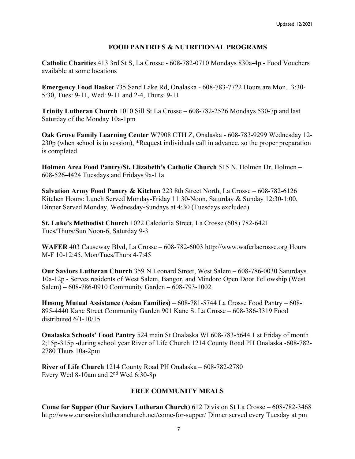# **FOOD PANTRIES & NUTRITIONAL PROGRAMS**

**Catholic Charities** 413 3rd St S, La Crosse - 608-782-0710 Mondays 830a-4p - Food Vouchers available at some locations

**Emergency Food Basket** 735 Sand Lake Rd, Onalaska - 608-783-7722 Hours are Mon. 3:30- 5:30, Tues: 9-11, Wed: 9-11 and 2-4, Thurs: 9-11

**Trinity Lutheran Church** 1010 Sill St La Crosse – 608-782-2526 Mondays 530-7p and last Saturday of the Monday 10a-1pm

**Oak Grove Family Learning Center** W7908 CTH Z, Onalaska - 608-783-9299 Wednesday 12- 230p (when school is in session), \*Request individuals call in advance, so the proper preparation is completed.

**Holmen Area Food Pantry/St. Elizabeth's Catholic Church** 515 N. Holmen Dr. Holmen – 608-526-4424 Tuesdays and Fridays 9a-11a

**Salvation Army Food Pantry & Kitchen** 223 8th Street North, La Crosse – 608-782-6126 Kitchen Hours: Lunch Served Monday-Friday 11:30-Noon, Saturday & Sunday 12:30-1:00, Dinner Served Monday, Wednesday-Sundays at 4:30 (Tuesdays excluded)

**St. Luke's Methodist Church** 1022 Caledonia Street, La Crosse (608) 782-6421 Tues/Thurs/Sun Noon-6, Saturday 9-3

**WAFER** 403 Causeway Blvd, La Crosse – 608-782-6003 http://www.waferlacrosse.org Hours M-F 10-12:45, Mon/Tues/Thurs 4-7:45

**Our Saviors Lutheran Church** 359 N Leonard Street, West Salem – 608-786-0030 Saturdays 10a-12p - Serves residents of West Salem, Bangor, and Mindoro Open Door Fellowship (West Salem) – 608-786-0910 Community Garden – 608-793-1002

**Hmong Mutual Assistance (Asian Families)** – 608-781-5744 La Crosse Food Pantry – 608- 895-4440 Kane Street Community Garden 901 Kane St La Crosse – 608-386-3319 Food distributed 6/1-10/15

**Onalaska Schools' Food Pantry** 524 main St Onalaska WI 608-783-5644 1 st Friday of month 2;15p-315p -during school year River of Life Church 1214 County Road PH Onalaska -608-782- 2780 Thurs 10a-2pm

**River of Life Church** 1214 County Road PH Onalaska – 608-782-2780 Every Wed 8-10am and  $2<sup>nd</sup>$  Wed 6:30-8p

# **FREE COMMUNITY MEALS**

**Come for Supper (Our Saviors Lutheran Church)** 612 Division St La Crosse – 608-782-3468 http://www.oursaviorslutheranchurch.net/come-for-supper/ Dinner served every Tuesday at pm